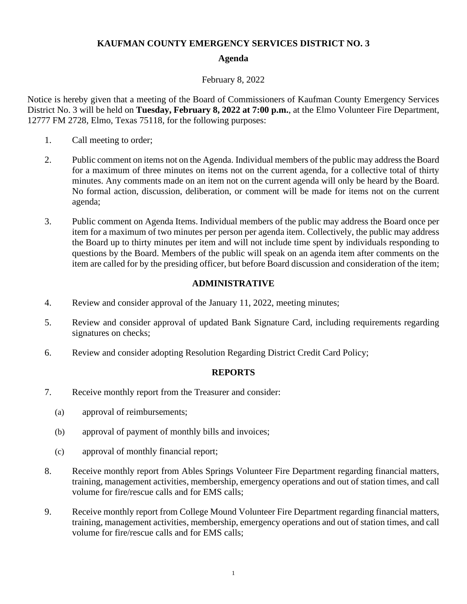## **KAUFMAN COUNTY EMERGENCY SERVICES DISTRICT NO. 3**

## **Agenda**

## February 8, 2022

Notice is hereby given that a meeting of the Board of Commissioners of Kaufman County Emergency Services District No. 3 will be held on **Tuesday, February 8, 2022 at 7:00 p.m.**, at the Elmo Volunteer Fire Department, 12777 FM 2728, Elmo, Texas 75118, for the following purposes:

- 1. Call meeting to order;
- 2. Public comment on items not on the Agenda. Individual members of the public may address the Board for a maximum of three minutes on items not on the current agenda, for a collective total of thirty minutes. Any comments made on an item not on the current agenda will only be heard by the Board. No formal action, discussion, deliberation, or comment will be made for items not on the current agenda;
- 3. Public comment on Agenda Items. Individual members of the public may address the Board once per item for a maximum of two minutes per person per agenda item. Collectively, the public may address the Board up to thirty minutes per item and will not include time spent by individuals responding to questions by the Board. Members of the public will speak on an agenda item after comments on the item are called for by the presiding officer, but before Board discussion and consideration of the item;

# **ADMINISTRATIVE**

- 4. Review and consider approval of the January 11, 2022, meeting minutes;
- 5. Review and consider approval of updated Bank Signature Card, including requirements regarding signatures on checks;
- 6. Review and consider adopting Resolution Regarding District Credit Card Policy;

#### **REPORTS**

- 7. Receive monthly report from the Treasurer and consider:
	- (a) approval of reimbursements;
	- (b) approval of payment of monthly bills and invoices;
	- (c) approval of monthly financial report;
- 8. Receive monthly report from Ables Springs Volunteer Fire Department regarding financial matters, training, management activities, membership, emergency operations and out of station times, and call volume for fire/rescue calls and for EMS calls;
- 9. Receive monthly report from College Mound Volunteer Fire Department regarding financial matters, training, management activities, membership, emergency operations and out of station times, and call volume for fire/rescue calls and for EMS calls;